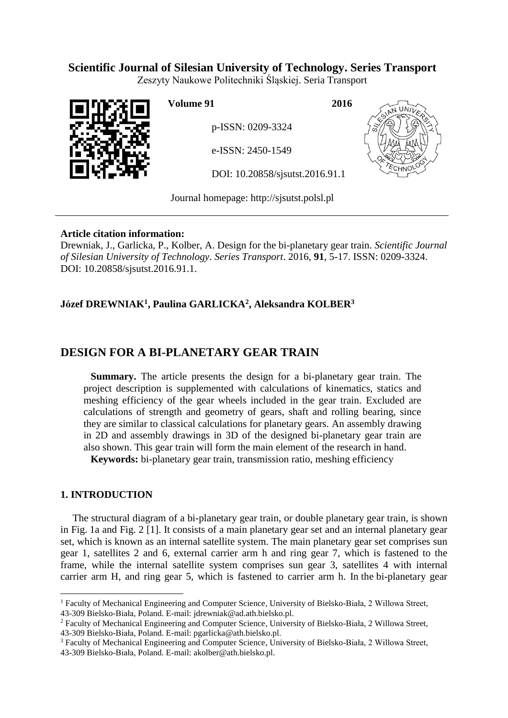## **Scientific Journal of Silesian University of Technology. Series Transport**

Zeszyty Naukowe Politechniki Śląskiej. Seria Transport



**Volume 91 2016**

p-ISSN: 0209-3324

e-ISSN: 2450-1549

DOI: 10.20858/sjsutst.2016.91.1



Journal homepage: [http://sjsutst.polsl.pl](http://sjsutst.polsl.pl/)

## **Article citation information:**

Drewniak, J., Garlicka, P., Kolber, A. Design for the bi-planetary gear train. *Scientific Journal of Silesian University of Technology. Series Transport*. 2016, **91**, 5-17. ISSN: 0209-3324. DOI: 10.20858/sjsutst.2016.91.1.

## **Józef DREWNIAK<sup>1</sup> , Paulina GARLICKA<sup>2</sup> , Aleksandra KOLBER<sup>3</sup>**

# **DESIGN FOR A BI-PLANETARY GEAR TRAIN**

**Summary.** The article presents the design for a bi-planetary gear train. The project description is supplemented with calculations of kinematics, statics and meshing efficiency of the gear wheels included in the gear train. Excluded are calculations of strength and geometry of gears, shaft and rolling bearing, since they are similar to classical calculations for planetary gears. An assembly drawing in 2D and assembly drawings in 3D of the designed bi-planetary gear train are also shown. This gear train will form the main element of the research in hand.

**Keywords:** bi-planetary gear train, transmission ratio, meshing efficiency

## **1. INTRODUCTION**

 $\overline{a}$ 

The structural diagram of a bi-planetary gear train, or double planetary gear train, is shown in Fig. 1a and Fig. 2 [1]. It consists of a main planetary gear set and an internal planetary gear set, which is known as an internal satellite system. The main planetary gear set comprises sun gear 1, satellites 2 and 6, external carrier arm h and ring gear 7, which is fastened to the frame, while the internal satellite system comprises sun gear 3, satellites 4 with internal carrier arm H, and ring gear 5, which is fastened to carrier arm h. In the bi-planetary gear

<sup>1</sup> Faculty of Mechanical Engineering and Computer Science, University of Bielsko-Biała, 2 Willowa Street, 43-309 Bielsko-Biała, Poland. E-mail: jdrewniak@ad.ath.bielsko.pl.

<sup>&</sup>lt;sup>2</sup> Faculty of Mechanical Engineering and Computer Science, University of Bielsko-Biała, 2 Willowa Street, 43-309 Bielsko-Biała, Poland. E-mail: pgarlicka@ath.bielsko.pl.

<sup>&</sup>lt;sup>3</sup> Faculty of Mechanical Engineering and Computer Science, University of Bielsko-Biała, 2 Willowa Street, 43-309 Bielsko-Biała, Poland. E-mail: akolber@ath.bielsko.pl.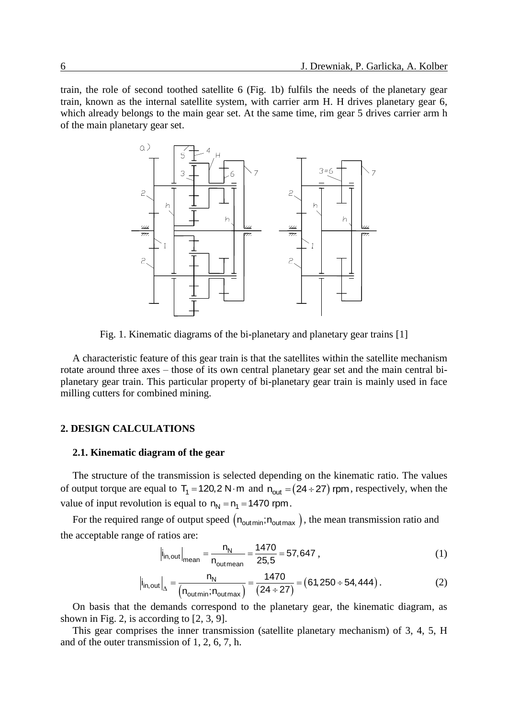train, the role of second toothed satellite 6 (Fig. 1b) fulfils the needs of the planetary gear train, known as the internal satellite system, with carrier arm H. H drives planetary gear 6, which already belongs to the main gear set. At the same time, rim gear 5 drives carrier arm h of the main planetary gear set.



Fig. 1. Kinematic diagrams of the bi-planetary and planetary gear trains [1]

A characteristic feature of this gear train is that the satellites within the satellite mechanism rotate around three axes – those of its own central planetary gear set and the main central biplanetary gear train. This particular property of bi-planetary gear train is mainly used in face milling cutters for combined mining.

#### **2. DESIGN CALCULATIONS**

#### **2.1. Kinematic diagram of the gear**

The structure of the transmission is selected depending on the kinematic ratio. The values of output torque are equal to  $T_1 = 120, 2 \text{ N} \cdot \text{m}$  and  $n_{\text{out}} = (24 \div 27)$  rpm, respectively, when the value of input revolution is equal to  $n_N = n_1 = 1470$  rpm.

For the required range of output speed  $(n_{\text{outmin}};n_{\text{outmax}})$ , the mean transmission ratio and the acceptable range of ratios are:

$$
\left| i_{\text{in,out}} \right|_{\text{mean}} = \frac{n_{\text{N}}}{n_{\text{outmean}}} = \frac{1470}{25.5} = 57,647,
$$
 (1)

$$
|i_{\text{in,out}}|_{\text{mean}} - \frac{1470}{25,5} = 37,047,
$$
\n
$$
|i_{\text{in,out}}|_{\Delta} = \frac{n_{\text{N}}}{(n_{\text{out,min}}; n_{\text{outmax}})} = \frac{1470}{(24 \div 27)} = (61,250 \div 54,444).
$$
\n(2)

On basis that the demands correspond to the planetary gear, the kinematic diagram, as shown in Fig. 2, is according to [2, 3, 9].

This gear comprises the inner transmission (satellite planetary mechanism) of 3, 4, 5, H and of the outer transmission of 1, 2, 6, 7, h.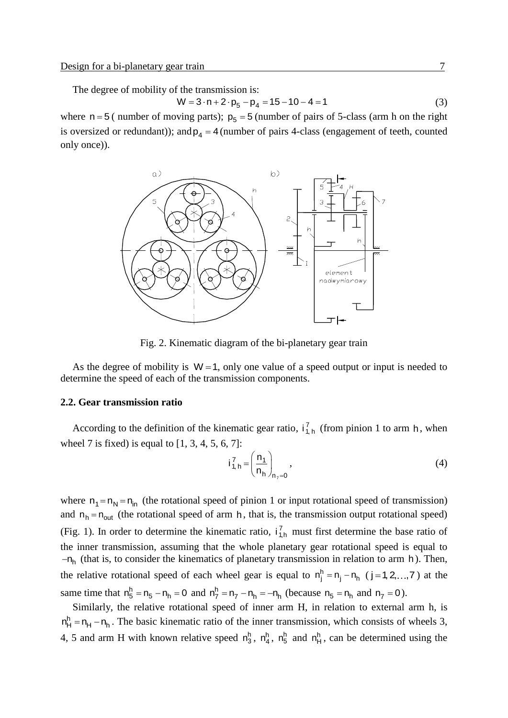The degree of mobility of the transmission is:  
\n
$$
W = 3 \cdot n + 2 \cdot p_5 - p_4 = 15 - 10 - 4 = 1
$$
\n(3)

where  $n = 5$  (number of moving parts);  $p_5 = 5$  (number of pairs of 5-class (arm h on the right is oversized or redundant)); and  $p_4 = 4$  (number of pairs 4-class (engagement of teeth, counted only once)).



Fig. 2. Kinematic diagram of the bi-planetary gear train

As the degree of mobility is  $W = 1$ , only one value of a speed output or input is needed to determine the speed of each of the transmission components.

#### **2.2. Gear transmission ratio**

According to the definition of the kinematic gear ratio,  $i_{1,h}^7$  (from pinion 1 to arm h, when wheel 7 is fixed) is equal to  $[1, 3, 4, 5, 6, 7]$ :

$$
i_{1, h}^{7} = \left(\frac{n_1}{n_h}\right)_{n_7 = 0},
$$
\n(4)

where  $n_1 = n_N = n_{in}$  (the rotational speed of pinion 1 or input rotational speed of transmission) and  $n_h = n_{out}$  (the rotational speed of arm h, that is, the transmission output rotational speed) (Fig. 1). In order to determine the kinematic ratio,  $i_{1,h}^7$  must first determine the base ratio of the inner transmission, assuming that the whole planetary gear rotational speed is equal to  $-n_h$  (that is, to consider the kinematics of planetary transmission in relation to arm h). Then, the relative rotational speed of each wheel gear is equal to  $n_j^h = n_j - n_h$  (j=1,2,...,7) at the same time that  $n_5^h = n_5 - n_h = 0$  and  $n_7^h = n_7 - n_h = -n_h$  (because  $n_5 = n_h$  and  $n_7 = 0$ ).

Similarly, the relative rotational speed of inner arm H, in relation to external arm h, is  $n_H^h = n_H - n_h$ . The basic kinematic ratio of the inner transmission, which consists of wheels 3, 4, 5 and arm H with known relative speed  $n_3^h$ ,  $n_4^h$ ,  $n_5^h$  and  $n_4^h$ , can be determined using the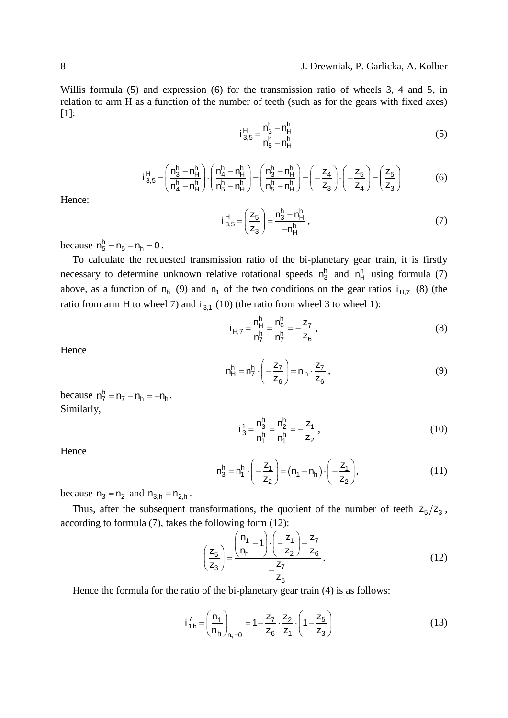Willis formula (5) and expression (6) for the transmission ratio of wheels 3, 4 and 5, in relation to arm H as a function of the number of teeth (such as for the gears with fixed axes) [1]:

$$
i_{3,5}^H = \frac{n_3^h - n_H^h}{n_5^h - n_H^h}
$$
 (5)

$$
n_5^n - n_1^n
$$
  
\n
$$
i_{3,5}^H = \left(\frac{n_3^h - n_1^h}{n_4^h - n_1^h}\right) \cdot \left(\frac{n_4^h - n_1^h}{n_5^h - n_1^h}\right) = \left(\frac{n_3^h - n_1^h}{n_5^h - n_1^h}\right) = \left(-\frac{z_4}{z_3}\right) \cdot \left(-\frac{z_5}{z_4}\right) = \left(\frac{z_5}{z_3}\right)
$$
(6)

Hence:

$$
i_{3,5}^{H} = \left(\frac{z_5}{z_3}\right) = \frac{n_3^h - n_H^h}{-n_H^h},
$$
\n(7)

because  $n_5^h = n_5 - n_h = 0$ .

To calculate the requested transmission ratio of the bi-planetary gear train, it is firstly necessary to determine unknown relative rotational speeds  $n_3^h$  and  $n_H^h$  using formula (7) above, as a function of  $n_h$  (9) and  $n_1$  of the two conditions on the gear ratios  $i_{H,7}$  (8) (the ratio from arm H to wheel 7) and  $i_{3,1}$  (10) (the ratio from wheel 3 to wheel 1):

$$
i_{H,7} = \frac{n_H^h}{n_7^h} = \frac{n_6^h}{n_7^h} = -\frac{z_7}{z_6},
$$
 (8)

Hence

$$
n_H^h = n_7^h \cdot \left( -\frac{z_7}{z_6} \right) = n_h \cdot \frac{z_7}{z_6} \,, \tag{9}
$$

because  $n_7^h = n_7 - n_h = -n_h$ . Similarly,

$$
i_3^1 = \frac{n_3^h}{n_1^h} = \frac{n_2^h}{n_1^h} = -\frac{z_1}{z_2},
$$
\n(10)

Hence

$$
n_3^h = n_1^h \cdot \left(-\frac{z_1}{z_2}\right) = (n_1 - n_h) \cdot \left(-\frac{z_1}{z_2}\right),\tag{11}
$$

because  $n_3 = n_2$  and  $n_{3,h} = n_{2,h}$ .

Thus, after the subsequent transformations, the quotient of the number of teeth  $z_5/z_3$ , according to formula (7), takes the following form (12):

$$
\left(\frac{z_5}{z_3}\right) = \frac{\left(\frac{n_1}{n_1} - 1\right) \cdot \left(-\frac{z_1}{z_2}\right) - \frac{z_7}{z_6}}{-\frac{z_7}{z_6}}.
$$
\n(12)

Hence the formula for the ratio of the bi-planetary gear train (4) is as follows:

$$
i_{1,h}^{7} = \left(\frac{n_1}{n_h}\right)_{n_7=0} = 1 - \frac{z_7}{z_6} \cdot \frac{z_2}{z_1} \cdot \left(1 - \frac{z_5}{z_3}\right)
$$
(13)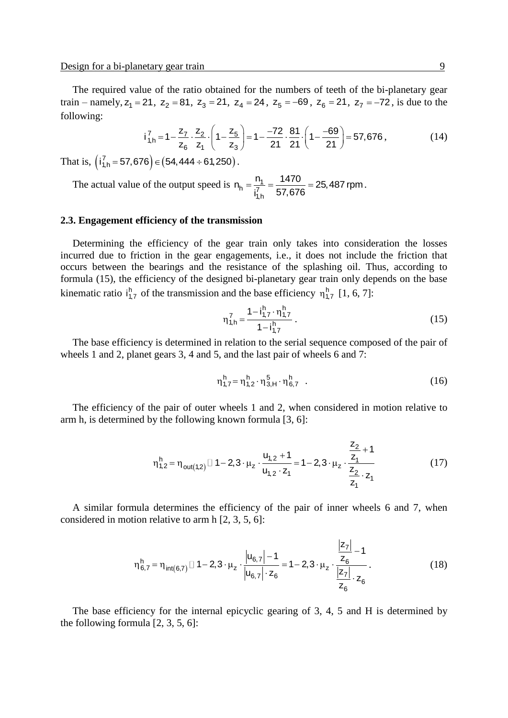The required value of the ratio obtained for the numbers of teeth of the bi-planetary gear train – namely,  $z_1 = 21$ ,  $z_2 = 81$ ,  $z_3 = 21$ ,  $z_4 = 24$ ,  $z_5 = -69$ ,  $z_6 = 21$ ,  $z_7 = -72$ , is due to the following:<br>  $i_{1, h}^7 = 1 - \frac{z_7}{z_6} \cdot \frac{z_2}{z_4} \cdot \left(1 - \frac{z_5}{z_2}\right) = 1 - \frac{-72}{21} \cdot \frac{81}{21} \cdot \left(1 - \frac{-69}{21}\right) = 5$ following:

$$
i_{1,h}^7 = 1 - \frac{z_7}{z_6} \cdot \frac{z_2}{z_1} \cdot \left(1 - \frac{z_5}{z_3}\right) = 1 - \frac{-72}{21} \cdot \frac{81}{21} \cdot \left(1 - \frac{-69}{21}\right) = 57,676,
$$
 (14)

That is,  $(i_{1,h}^7 = 57,676) \in (54,444 \div 61,250)$  $i_{1,h}^7 = 57,676$   $\in$   $(54,444 \div 61,250)$ .

The actual value of the output speed is  $n_h = \frac{n_1}{i_{1,h}^7}$  $n_h = \frac{n_1}{i_{1h}^7} = \frac{1470}{57,676} = 25,487$  rpm.

#### **2.3. Engagement efficiency of the transmission**

Determining the efficiency of the gear train only takes into consideration the losses incurred due to friction in the gear engagements, i.e., it does not include the friction that occurs between the bearings and the resistance of the splashing oil. Thus, according to formula (15), the efficiency of the designed bi-planetary gear train only depends on the base kinematic ratio  $i_{1,7}^h$  of the transmission and the base efficiency  $\eta_{1,7}^h$  [1, 6, 7]:

$$
\eta_{1,h}^7 = \frac{1 - i_{1,7}^h \cdot \eta_{1,7}^h}{1 - i_{1,7}^h} \,. \tag{15}
$$

The base efficiency is determined in relation to the serial sequence composed of the pair of wheels 1 and 2, planet gears 3, 4 and 5, and the last pair of wheels 6 and 7:

$$
\eta_{1,7}^h = \eta_{1,2}^h \cdot \eta_{3,H}^5 \cdot \eta_{6,7}^h \tag{16}
$$

The efficiency of the pair of outer wheels 1 and 2, when considered in motion relative to arm h, is determined by the following known formula [3, 6]:

$$
\eta_{1,2}^h = \eta_{out(1,2)} \square 1 - 2, 3 \cdot \mu_z \cdot \frac{u_{1,2} + 1}{u_{1,2} \cdot z_1} = 1 - 2, 3 \cdot \mu_z \cdot \frac{\frac{z_2}{z_1} + 1}{\frac{z_2}{z_1} \cdot z_1}
$$
(17)

A similar formula determines the efficiency of the pair of inner wheels 6 and 7, when considered in motion relative to arm h [2, 3, 5, 6]:

$$
\eta_{6,7}^h = \eta_{int(6,7)} \Box 1 - 2,3 \cdot \mu_z \cdot \frac{|u_{6,7}| - 1}{|u_{6,7}| \cdot z_6} = 1 - 2,3 \cdot \mu_z \cdot \frac{\frac{|z_7|}{z_6} - 1}{\frac{|z_7|}{z_6} \cdot z_6}.
$$
 (18)

The base efficiency for the internal epicyclic gearing of 3, 4, 5 and H is determined by the following formula [2, 3, 5, 6]: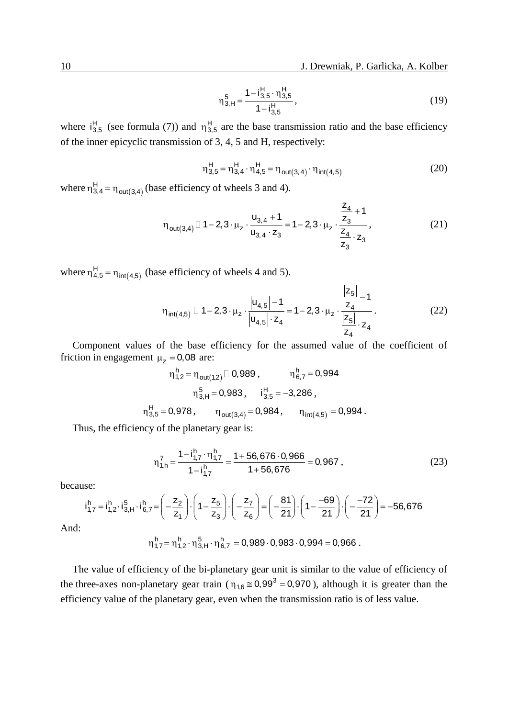$$
\eta_{3,H}^5 = \frac{1 - i_{3,5}^H \cdot \eta_{3,5}^H}{1 - i_{3,5}^H},
$$
\n(19)

where  $i_{3,5}^H$  (see formula (7)) and  $\eta_{3,5}^H$  are the base transmission ratio and the base efficiency of the inner epicyclic transmission of 3, 4, 5 and H, respectively:

$$
\eta_{3,5}^H = \eta_{3,4}^H \cdot \eta_{4,5}^H = \eta_{\text{out}(3,4)} \cdot \eta_{\text{int}(4,5)}
$$
(20)

where  $\eta_{3,4}^H = \eta_{out(3,4)}$  $\eta_{3,4}^H = \eta_{out(3,4)}$  (base efficiency of wheels 3 and 4).

$$
\eta_{\text{out}(3,4)} \Box 1 - 2,3 \cdot \mu_z \cdot \frac{u_{3,4} + 1}{u_{3,4} \cdot z_3} = 1 - 2,3 \cdot \mu_z \cdot \frac{\frac{z_4}{z_3} + 1}{\frac{z_4}{z_3} \cdot z_3},
$$
(21)

where  $\eta_{4,5}^H = \eta_{int(4,5)}$  $\eta_{4,5}^H = \eta_{int(4,5)}$  (base efficiency of wheels 4 and 5).

$$
\eta_{\text{int}(4,5)} \Box 1 - 2, 3 \cdot \mu_{z} \cdot \frac{|u_{4,5}| - 1}{|u_{4,5}| \cdot z_{4}} = 1 - 2, 3 \cdot \mu_{z} \cdot \frac{\frac{|z_{5}|}{z_{4}} - 1}{\frac{|z_{5}|}{z_{4}} \cdot z_{4}}.
$$
(22)

Component values of the base efficiency for the assumed value of the coefficient of friction in engagement  $\mu_z = 0.08$  are:

$$
\begin{aligned} \eta_{1,2}^h = \eta_{out(1,2)} \Box \ 0,989\,, & \eta_{6,7}^h = 0,994 \\ \eta_{3,H}^5 = 0,983\,, & \text{if}_{3,5}^H = -3,286\,, \\ \eta_{3,5}^H = 0,978\,, & \eta_{out(3,4)} = 0,984\,, & \eta_{int(4,5)} = 0,994\,. \end{aligned}
$$

Thus, the efficiency of the planetary gear is:

$$
\eta_{1,h}^7 = \frac{1 - i_{1,7}^h \cdot \eta_{1,7}^h}{1 - i_{1,7}^h} = \frac{1 + 56,676 \cdot 0,966}{1 + 56,676} = 0,967,
$$
\n(23)

because:

$$
\eta'_{1,h} = \frac{\eta'_{1,h}}{1 - i_{1,7}^h} = \frac{1.1 \times 1.1 \times 1.0 \times 1.0 \times 1.0}{1 + 56,676} = 0,967, \qquad (2)
$$
\nuse:

\n
$$
i_{1,7}^h = i_{1,2}^h \cdot i_{3,H}^5 \cdot i_{6,7}^h = \left(-\frac{z_2}{z_1}\right) \cdot \left(1 - \frac{z_5}{z_3}\right) \cdot \left(-\frac{z_7}{z_6}\right) = \left(-\frac{81}{21}\right) \cdot \left(1 - \frac{-69}{21}\right) \cdot \left(-\frac{-72}{21}\right) = -56,676
$$

And:

$$
\eta_{1,7}^h = \eta_{1,2}^h \cdot \eta_{3,H}^5 \cdot \eta_{6,7}^h = 0,989 \cdot 0,983 \cdot 0,994 = 0,966.
$$

The value of efficiency of the bi-planetary gear unit is similar to the value of efficiency of the three-axes non-planetary gear train ( $\eta_{1,6} \approx 0.99^3 = 0.970$ ), although it is greater than the efficiency value of the planetary gear, even when the transmission ratio is of less value.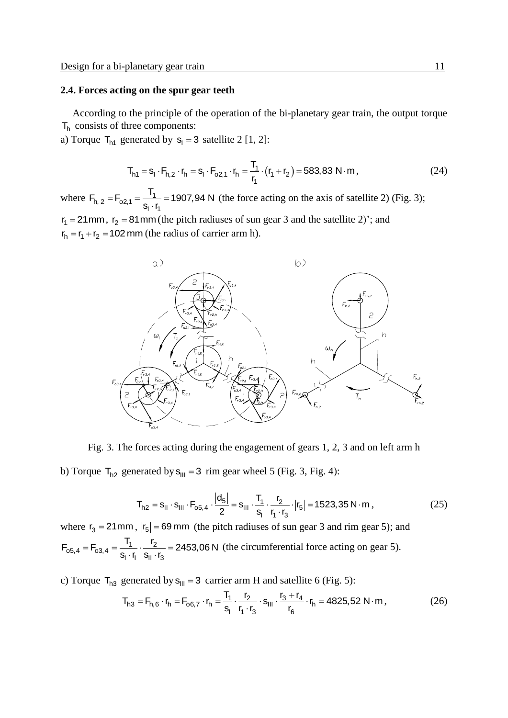#### **2.4. Forces acting on the spur gear teeth**

According to the principle of the operation of the bi-planetary gear train, the output torque  $T<sub>h</sub>$  consists of three components:

a) Torque  $T<sub>h1</sub>$  generated by  $s<sub>l</sub> = 3$  satellite 2 [1, 2]:

$$
T_{h1} = s_1 \cdot F_{h,2} \cdot r_h = s_1 \cdot F_{o2,1} \cdot r_h = \frac{T_1}{r_1} \cdot (r_1 + r_2) = 583,83 \text{ N} \cdot \text{m},\tag{24}
$$

where  $F_{h, 2} = F_{02,1} = \frac{11}{5}$  $\cdot r_1$  $F_{h, 2} = F_{02,1} = \frac{T_1}{2 \cdot r} = 1907,94 \text{ N}$ <u>'1</u><br>S<sub>I</sub> · r  $=$   $F_{02,1} = \frac{T_1}{s_1 \cdot r_1} = 190$ (the force acting on the axis of satellite 2) (Fig. 3);  $r_1 = 21$  mm,  $r_2 = 81$  mm (the pitch radiuses of sun gear 3 and the satellite 2)'; and

 $r_h = r_1 + r_2 = 102$  mm (the radius of carrier arm h).



Fig. 3. The forces acting during the engagement of gears 1, 2, 3 and on left arm h

b) Torque T<sub>h2</sub> generated by s<sub>III</sub> = 3 rim gear wheel 5 (Fig. 3, Fig. 4):  
\n
$$
T_{h2} = s_{II} \cdot s_{III} \cdot F_{o5,4} \cdot \frac{|d_5|}{2} = s_{III} \cdot \frac{T_1}{s_1} \cdot \frac{r_2}{r_1 \cdot r_3} \cdot |r_5| = 1523,35 \text{ N} \cdot \text{m},\tag{25}
$$

where  $r_3 = 21$  mm,  $|r_5| = 69$  mm (the pitch radiuses of sun gear 3 and rim gear 5); and  $\mathbf{F}_{65,4} = \mathbf{F}_{63,4} = \frac{\mathbf{T}_1}{\mathbf{s}_1 \cdot \mathbf{r}} \cdot \frac{\mathbf{r}_2}{\mathbf{s}_2 \cdot \mathbf{r}}$  $\frac{1}{\|\cdot\|} \cdot \frac{1}{\|S\| \cdot r_3}$ where  $r_3 = 21$  mm,  $|r_5| = 69$  mm (the p:<br> $F_{65,4} = F_{63,4} = \frac{T_1}{5 \times r} \cdot \frac{r_2}{5 \times r} = 2453,06$  N  $\frac{T_1}{s_1 \cdot r_1} \cdot \frac{r_2}{s_{11} \cdot r_1}$  $=$  F<sub>03,4</sub> =  $\frac{T_1}{S_1} \cdot \frac{r_2}{S_1}$  = 2453  $\frac{r_1}{r_1} \cdot \frac{r_2}{s_{II} \cdot r_3} = 2453,06 \text{ N}$  (the circumferential force acting on gear 5).

c) Torque T<sub>h3</sub> generated by s<sub>III</sub> = 3 carrier arm H and satellite 6 (Fig. 5):  
\n
$$
T_{h3} = F_{h,6} \cdot r_h = F_{o6,7} \cdot r_h = \frac{T_1}{s_1} \cdot \frac{r_2}{r_1 \cdot r_3} \cdot s_{III} \cdot \frac{r_3 + r_4}{r_6} \cdot r_h = 4825,52 \text{ N} \cdot \text{m},
$$
\n(26)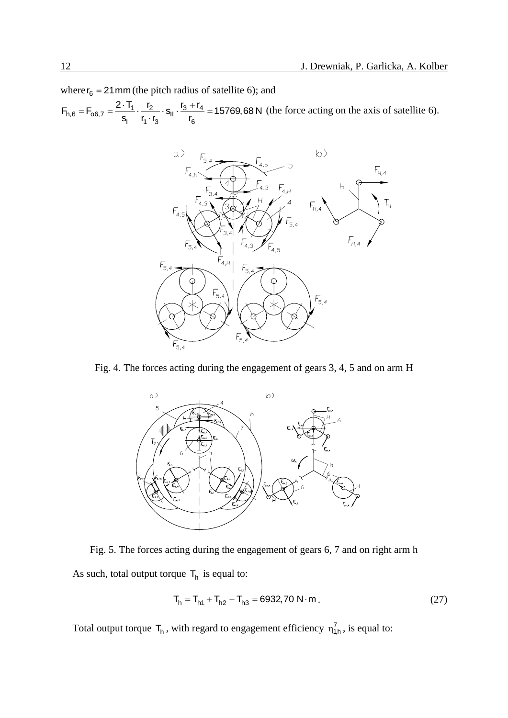where  $r_6 = 21$  mm (the pitch radius of satellite 6); and

 $\vec{F}_{h,6} = \vec{F}_{6,7} = \frac{2 \cdot T_1}{S_1} \cdot \frac{r_2}{r_4 \cdot r_2} \cdot S_{\parallel} \cdot \frac{r_3 + r_4}{r_6}$  $\frac{11}{1} \cdot \frac{12}{r_1 \cdot r_3} \cdot s_{11} \cdot \frac{13}{r_6}$ where  $r_6 = 21$  mm (the pitch radius of satellite 6);<br>  $F_{h,6} = F_{0.6,7} = \frac{2 \cdot T_1}{S_1} \cdot \frac{r_2}{r_1} \cdot S_{\parallel} \cdot \frac{r_3 + r_4}{r_2} = 15769,68 \text{ N}$  $\frac{1}{s_1} \cdot \frac{r_2}{r_1 \cdot r_3} \cdot s_{11} \cdot \frac{r_3 + r_4}{r_6}$ re r<sub>6</sub> = 21 mm (the pitch radius of satellit<br>=  $F_{0.6,7} = \frac{2 \cdot T_1}{s_1} \cdot \frac{r_2}{r_1 \cdot r_3} \cdot s_{11} \cdot \frac{r_3 + r_4}{r_6} = 15769$ (the force acting on the axis of satellite 6).



Fig. 4. The forces acting during the engagement of gears 3, 4, 5 and on arm H



Fig. 5. The forces acting during the engagement of gears 6, 7 and on right arm h As such, total output torque  $T_h$  is equal to:

$$
T_h = T_{h1} + T_{h2} + T_{h3} = 6932,70 \text{ N} \cdot \text{m} \,. \tag{27}
$$

Total output torque  $T_h$ , with regard to engagement efficiency  $\eta_{1,h}^7$ , is equal to: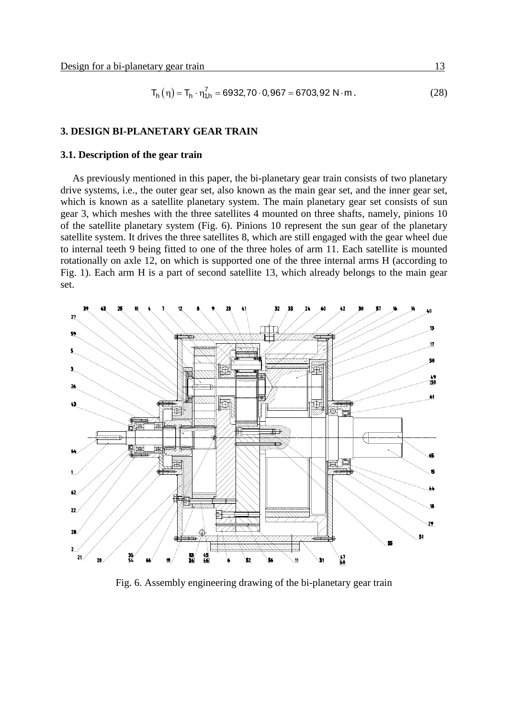$$
T_h(\eta) = T_h \cdot \eta_{1,h}^7 = 6932,70 \cdot 0,967 = 6703,92 \text{ N} \cdot \text{m} \,. \tag{28}
$$

#### **3. DESIGN BI-PLANETARY GEAR TRAIN**

### **3.1. Description of the gear train**

As previously mentioned in this paper, the bi-planetary gear train consists of two planetary drive systems, i.e., the outer gear set, also known as the main gear set, and the inner gear set, which is known as a satellite planetary system. The main planetary gear set consists of sun gear 3, which meshes with the three satellites 4 mounted on three shafts, namely, pinions 10 of the satellite planetary system (Fig. 6). Pinions 10 represent the sun gear of the planetary satellite system. It drives the three satellites 8, which are still engaged with the gear wheel due to internal teeth 9 being fitted to one of the three holes of arm 11. Each satellite is mounted rotationally on axle 12, on which is supported one of the three internal arms H (according to Fig. 1). Each arm H is a part of second satellite 13, which already belongs to the main gear set.



Fig. 6. Assembly engineering drawing of the bi-planetary gear train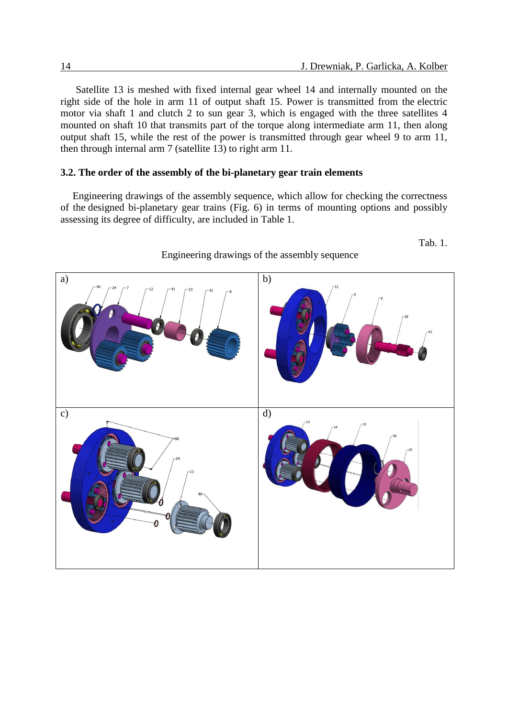Tab. 1.

Satellite 13 is meshed with fixed internal gear wheel 14 and internally mounted on the right side of the hole in arm 11 of output shaft 15. Power is transmitted from the electric motor via shaft 1 and clutch 2 to sun gear 3, which is engaged with the three satellites 4 mounted on shaft 10 that transmits part of the torque along intermediate arm 11, then along output shaft 15, while the rest of the power is transmitted through gear wheel 9 to arm 11, then through internal arm 7 (satellite 13) to right arm 11.

### **3.2. The order of the assembly of the bi-planetary gear train elements**

Engineering drawings of the assembly sequence, which allow for checking the correctness of the designed bi-planetary gear trains (Fig. 6) in terms of mounting options and possibly assessing its degree of difficulty, are included in Table 1.



## Engineering drawings of the assembly sequence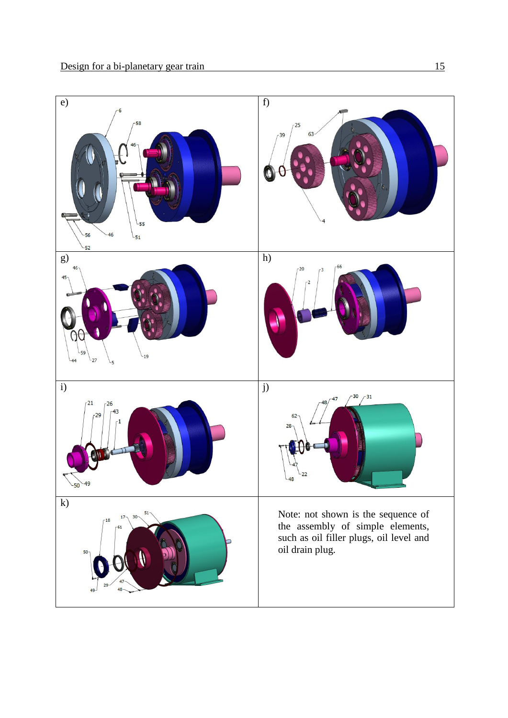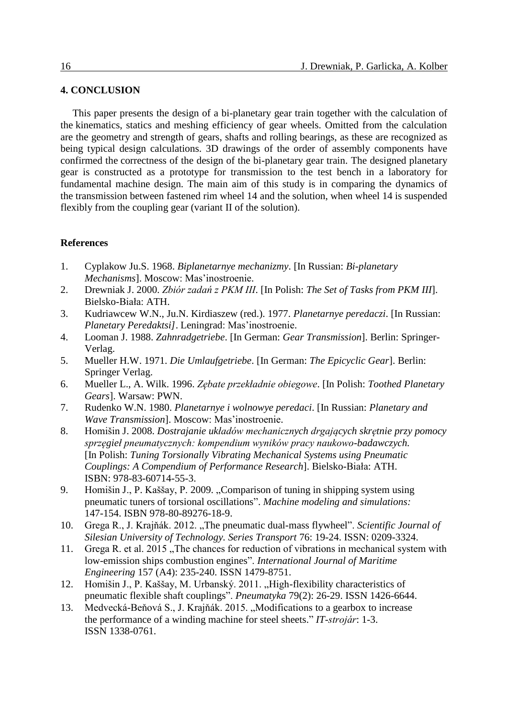## **4. CONCLUSION**

This paper presents the design of a bi-planetary gear train together with the calculation of the kinematics, statics and meshing efficiency of gear wheels. Omitted from the calculation are the geometry and strength of gears, shafts and rolling bearings, as these are recognized as being typical design calculations. 3D drawings of the order of assembly components have confirmed the correctness of the design of the bi-planetary gear train. The designed planetary gear is constructed as a prototype for transmission to the test bench in a laboratory for fundamental machine design. The main aim of this study is in comparing the dynamics of the transmission between fastened rim wheel 14 and the solution, when wheel 14 is suspended flexibly from the coupling gear (variant II of the solution).

### **References**

- 1. Cyplakow Ju.S. 1968. *Biplanetarnye mechanizmy*. [In Russian: *Bi-planetary Mechanisms*]. Moscow: Mas'inostroenie.
- 2. Drewniak J. 2000. *Zbiór zadań z PKM III*. [In Polish: *The Set of Tasks from PKM III*]. Bielsko-Biała: ATH.
- 3. Kudriawcew W.N., Ju.N. Kirdiaszew (red.). 1977. *Planetarnye peredaczi*. [In Russian: *Planetary Peredaktsi]*. Leningrad: Mas'inostroenie.
- 4. Looman J. 1988. *Zahnradgetriebe*. [In German: *Gear Transmission*]. Berlin: Springer-Verlag.
- 5. Mueller H.W. 1971. *Die Umlaufgetriebe*. [In German: *The Epicyclic Gear*]. Berlin: Springer Verlag.
- 6. Mueller L., A. Wilk. 1996. *Zębate przekładnie obiegowe*. [In Polish: *Toothed Planetary Gears*]. Warsaw: PWN.
- 7. Rudenko W.N. 1980. *Planetarnye i wolnowye peredaci*. [In Russian: *Planetary and Wave Transmission*]. Moscow: Mas'inostroenie.
- 8. Homišin J. 2008. *Dostrajanie układów mechanicznych drgających skrętnie przy pomocy sprzęgieł pneumatycznych: kompendium wyników pracy naukowo-badawczych.* [In Polish: *Tuning Torsionally Vibrating Mechanical Systems using Pneumatic Couplings: A Compendium of Performance Research*]. Bielsko-Biała: ATH. ISBN: 978-83-60714-55-3.
- 9. Homišin J., P. Kaššay, P. 2009. "Comparison of tuning in shipping system using pneumatic tuners of torsional oscillations". *Machine modeling and simulations:* 147-154. ISBN 978-80-89276-18-9.
- 10. Grega R., J. Krajňák. 2012. "The pneumatic dual-mass flywheel". *Scientific Journal of Silesian University of Technology. Series Transport* 76: 19-24. ISSN: 0209-3324.
- 11. Grega R. et al. 2015, The chances for reduction of vibrations in mechanical system with low-emission ships combustion engines". *International Journal of Maritime Engineering* 157 (A4): 235-240. ISSN 1479-8751.
- 12. Homišin J., P. Kaššay, M. Urbanský. 2011. "High-flexibility characteristics of pneumatic flexible shaft couplings". *Pneumatyka* 79(2): 26-29. ISSN 1426-6644.
- 13. Medvecká-Beňová S., J. Krajňák. 2015. "Modifications to a gearbox to increase the performance of a winding machine for steel sheets." *IT-strojár*: 1-3. ISSN 1338-0761.